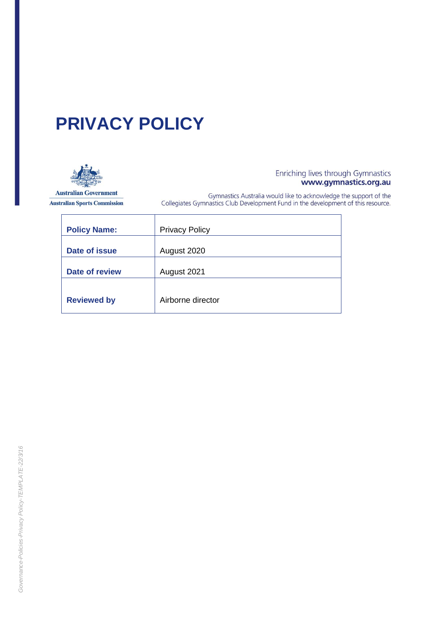# **PRIVACY POLICY**



**Australian Government Australian Sports Commission** 

 $\mathbf{r}$ 

# Enriching lives through Gymnastics<br>www.gymnastics.org.au

Gymnastics Australia would like to acknowledge the support of the<br>Collegiates Gymnastics Club Development Fund in the development of this resource.

| <b>Policy Name:</b>   | <b>Privacy Policy</b> |
|-----------------------|-----------------------|
| Date of issue         | August 2020           |
| <b>Date of review</b> | August 2021           |
|                       |                       |
| <b>Reviewed by</b>    | Airborne director     |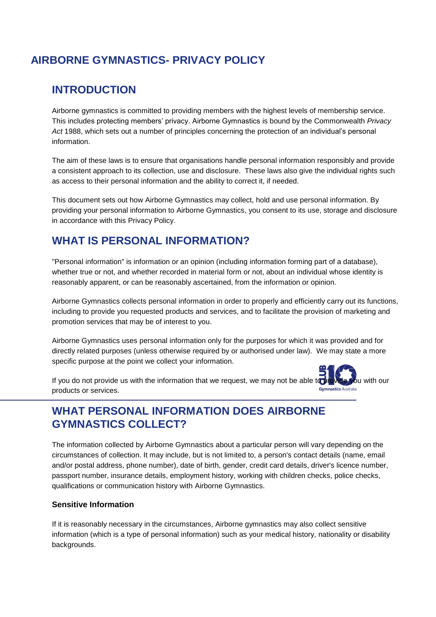## **INTRODUCTION**

Airborne gymnastics is committed to providing members with the highest levels of membership service. This includes protecting members' privacy. Airborne Gymnastics is bound by the Commonwealth *Privacy Act* 1988, which sets out a number of principles concerning the protection of an individual's personal information.

The aim of these laws is to ensure that organisations handle personal information responsibly and provide a consistent approach to its collection, use and disclosure. These laws also give the individual rights such as access to their personal information and the ability to correct it, if needed.

This document sets out how Airborne Gymnastics may collect, hold and use personal information. By providing your personal information to Airborne Gymnastics, you consent to its use, storage and disclosure in accordance with this Privacy Policy.

# **WHAT IS PERSONAL INFORMATION?**

"Personal information" is information or an opinion (including information forming part of a database), whether true or not, and whether recorded in material form or not, about an individual whose identity is reasonably apparent, or can be reasonably ascertained, from the information or opinion.

Airborne Gymnastics collects personal information in order to properly and efficiently carry out its functions, including to provide you requested products and services, and to facilitate the provision of marketing and promotion services that may be of interest to you.

Airborne Gymnastics uses personal information only for the purposes for which it was provided and for directly related purposes (unless otherwise required by or authorised under law). We may state a more specific purpose at the point we collect your information.

If you do not provide us with the information that we request, we may not be able to provide you with our products or services.

# **WHAT PERSONAL INFORMATION DOES AIRBORNE GYMNASTICS COLLECT?**

The information collected by Airborne Gymnastics about a particular person will vary depending on the circumstances of collection. It may include, but is not limited to, a person's contact details (name, email and/or postal address, phone number), date of birth, gender, credit card details, driver's licence number, passport number, insurance details, employment history, working with children checks, police checks, qualifications or communication history with Airborne Gymnastics.

## **Sensitive Information**

If it is reasonably necessary in the circumstances, Airborne gymnastics may also collect sensitive information (which is a type of personal information) such as your medical history, nationality or disability backgrounds.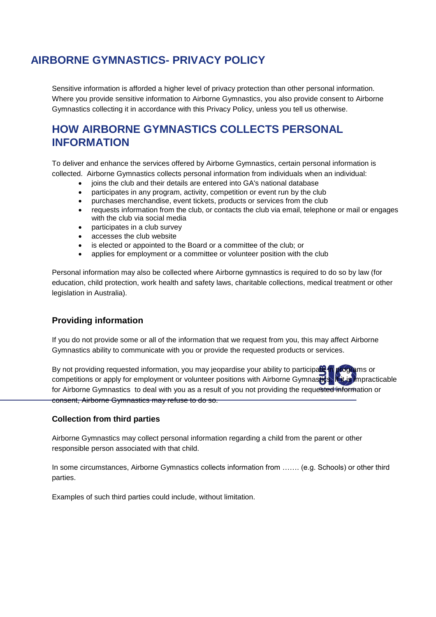Sensitive information is afforded a higher level of privacy protection than other personal information. Where you provide sensitive information to Airborne Gymnastics, you also provide consent to Airborne Gymnastics collecting it in accordance with this Privacy Policy, unless you tell us otherwise.

# **HOW AIRBORNE GYMNASTICS COLLECTS PERSONAL INFORMATION**

To deliver and enhance the services offered by Airborne Gymnastics, certain personal information is collected. Airborne Gymnastics collects personal information from individuals when an individual:

- ioins the club and their details are entered into GA's national database
- participates in any program, activity, competition or event run by the club
- purchases merchandise, event tickets, products or services from the club
- requests information from the club, or contacts the club via email, telephone or mail or engages with the club via social media
- participates in a club survey
- accesses the club website
- is elected or appointed to the Board or a committee of the club; or
- applies for employment or a committee or volunteer position with the club

Personal information may also be collected where Airborne gymnastics is required to do so by law (for education, child protection, work health and safety laws, charitable collections, medical treatment or other legislation in Australia).

## **Providing information**

If you do not provide some or all of the information that we request from you, this may affect Airborne Gymnastics ability to communicate with you or provide the requested products or services.

| By not providing requested information, you may jeopardise your ability to participal and programs or<br>competitions or apply for employment or volunteer positions with Airborne Gymnastics Ritis Impracticable |
|-------------------------------------------------------------------------------------------------------------------------------------------------------------------------------------------------------------------|
| for Airborne Gymnastics to deal with you as a result of you not providing the requested information or                                                                                                            |
| consent, Airborne Gymnastics may refuse to do so.                                                                                                                                                                 |

#### **Collection from third parties**

Airborne Gymnastics may collect personal information regarding a child from the parent or other responsible person associated with that child.

In some circumstances, Airborne Gymnastics collects information from ……. (e.g. Schools) or other third parties.

Examples of such third parties could include, without limitation.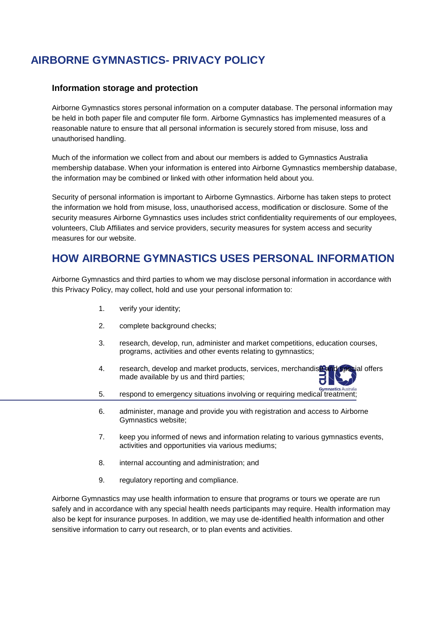### **Information storage and protection**

Airborne Gymnastics stores personal information on a computer database. The personal information may be held in both paper file and computer file form. Airborne Gymnastics has implemented measures of a reasonable nature to ensure that all personal information is securely stored from misuse, loss and unauthorised handling.

Much of the information we collect from and about our members is added to Gymnastics Australia membership database. When your information is entered into Airborne Gymnastics membership database, the information may be combined or linked with other information held about you.

Security of personal information is important to Airborne Gymnastics. Airborne has taken steps to protect the information we hold from misuse, loss, unauthorised access, modification or disclosure. Some of the security measures Airborne Gymnastics uses includes strict confidentiality requirements of our employees, volunteers, Club Affiliates and service providers, security measures for system access and security measures for our website.

## **HOW AIRBORNE GYMNASTICS USES PERSONAL INFORMATION**

Airborne Gymnastics and third parties to whom we may disclose personal information in accordance with this Privacy Policy, may collect, hold and use your personal information to:

- 1. verify your identity;
- 2. complete background checks;
- 3. research, develop, run, administer and market competitions, education courses, programs, activities and other events relating to gymnastics;
- 4. research, develop and market products, services, merchandise and special offers made available by us and third parties;
- 5. respond to emergency situations involving or requiring medical treatment;
- 6. administer, manage and provide you with registration and access to Airborne Gymnastics website;
- 7. keep you informed of news and information relating to various gymnastics events, activities and opportunities via various mediums;
- 8. internal accounting and administration; and
- 9. regulatory reporting and compliance.

Airborne Gymnastics may use health information to ensure that programs or tours we operate are run safely and in accordance with any special health needs participants may require. Health information may also be kept for insurance purposes. In addition, we may use de-identified health information and other sensitive information to carry out research, or to plan events and activities.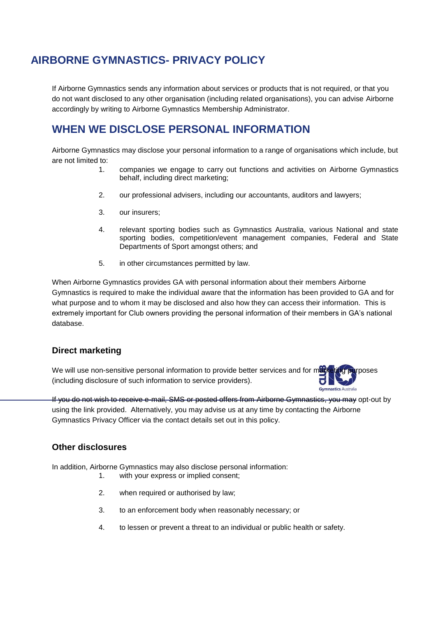If Airborne Gymnastics sends any information about services or products that is not required, or that you do not want disclosed to any other organisation (including related organisations), you can advise Airborne accordingly by writing to Airborne Gymnastics Membership Administrator.

# **WHEN WE DISCLOSE PERSONAL INFORMATION**

Airborne Gymnastics may disclose your personal information to a range of organisations which include, but are not limited to:

- 1. companies we engage to carry out functions and activities on Airborne Gymnastics behalf, including direct marketing;
- 2. our professional advisers, including our accountants, auditors and lawyers;
- 3. our insurers;
- 4. relevant sporting bodies such as Gymnastics Australia, various National and state sporting bodies, competition/event management companies, Federal and State Departments of Sport amongst others; and
- 5. in other circumstances permitted by law.

When Airborne Gymnastics provides GA with personal information about their members Airborne Gymnastics is required to make the individual aware that the information has been provided to GA and for what purpose and to whom it may be disclosed and also how they can access their information. This is extremely important for Club owners providing the personal information of their members in GA's national database.

## **Direct marketing**

We will use non-sensitive personal information to provide better services and for marketing purposes (including disclosure of such information to service providers).

If you do not wish to receive e-mail, SMS or posted offers from Airborne Gymnastics, you may opt-out by using the link provided. Alternatively, you may advise us at any time by contacting the Airborne Gymnastics Privacy Officer via the contact details set out in this policy.

#### **Other disclosures**

In addition, Airborne Gymnastics may also disclose personal information:

- 1. with your express or implied consent;
- 2. when required or authorised by law;
- 3. to an enforcement body when reasonably necessary; or
- 4. to lessen or prevent a threat to an individual or public health or safety.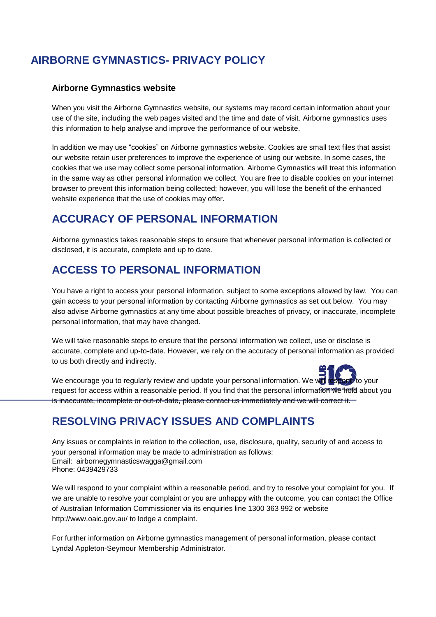### **Airborne Gymnastics website**

When you visit the Airborne Gymnastics website, our systems may record certain information about your use of the site, including the web pages visited and the time and date of visit. Airborne gymnastics uses this information to help analyse and improve the performance of our website.

In addition we may use "cookies" on Airborne gymnastics website. Cookies are small text files that assist our website retain user preferences to improve the experience of using our website. In some cases, the cookies that we use may collect some personal information. Airborne Gymnastics will treat this information in the same way as other personal information we collect. You are free to disable cookies on your internet browser to prevent this information being collected; however, you will lose the benefit of the enhanced website experience that the use of cookies may offer.

## **ACCURACY OF PERSONAL INFORMATION**

Airborne gymnastics takes reasonable steps to ensure that whenever personal information is collected or disclosed, it is accurate, complete and up to date.

## **ACCESS TO PERSONAL INFORMATION**

You have a right to access your personal information, subject to some exceptions allowed by law. You can gain access to your personal information by contacting Airborne gymnastics as set out below. You may also advise Airborne gymnastics at any time about possible breaches of privacy, or inaccurate, incomplete personal information, that may have changed.

We will take reasonable steps to ensure that the personal information we collect, use or disclose is accurate, complete and up-to-date. However, we rely on the accuracy of personal information as provided to us both directly and indirectly.



We encourage you to regularly review and update your personal information. We will request for access within a reasonable period. If you find that the personal information we hold about you is inaccurate, incomplete or out-of-date, please contact us immediately and we will correct it.

## **RESOLVING PRIVACY ISSUES AND COMPLAINTS**

Any issues or complaints in relation to the collection, use, disclosure, quality, security of and access to your personal information may be made to administration as follows: Email: airbornegymnasticswagga@gmail.com Phone: 0439429733

We will respond to your complaint within a reasonable period, and try to resolve your complaint for you. If we are unable to resolve your complaint or you are unhappy with the outcome, you can contact the Office of Australian Information Commissioner via its enquiries line 1300 363 992 or website <http://www.oaic.gov.au/> to lodge a complaint.

For further information on Airborne gymnastics management of personal information, please contact Lyndal Appleton-Seymour Membership Administrator.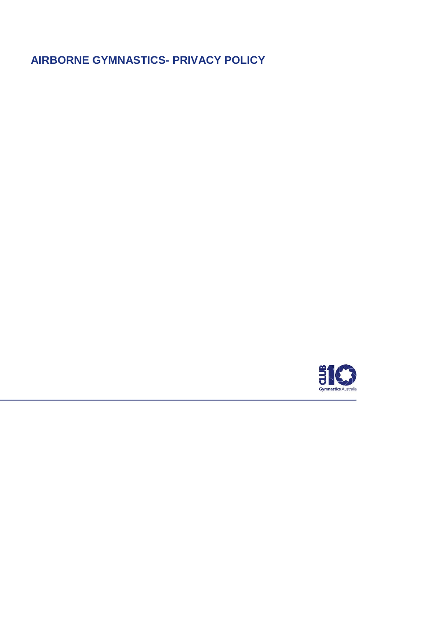